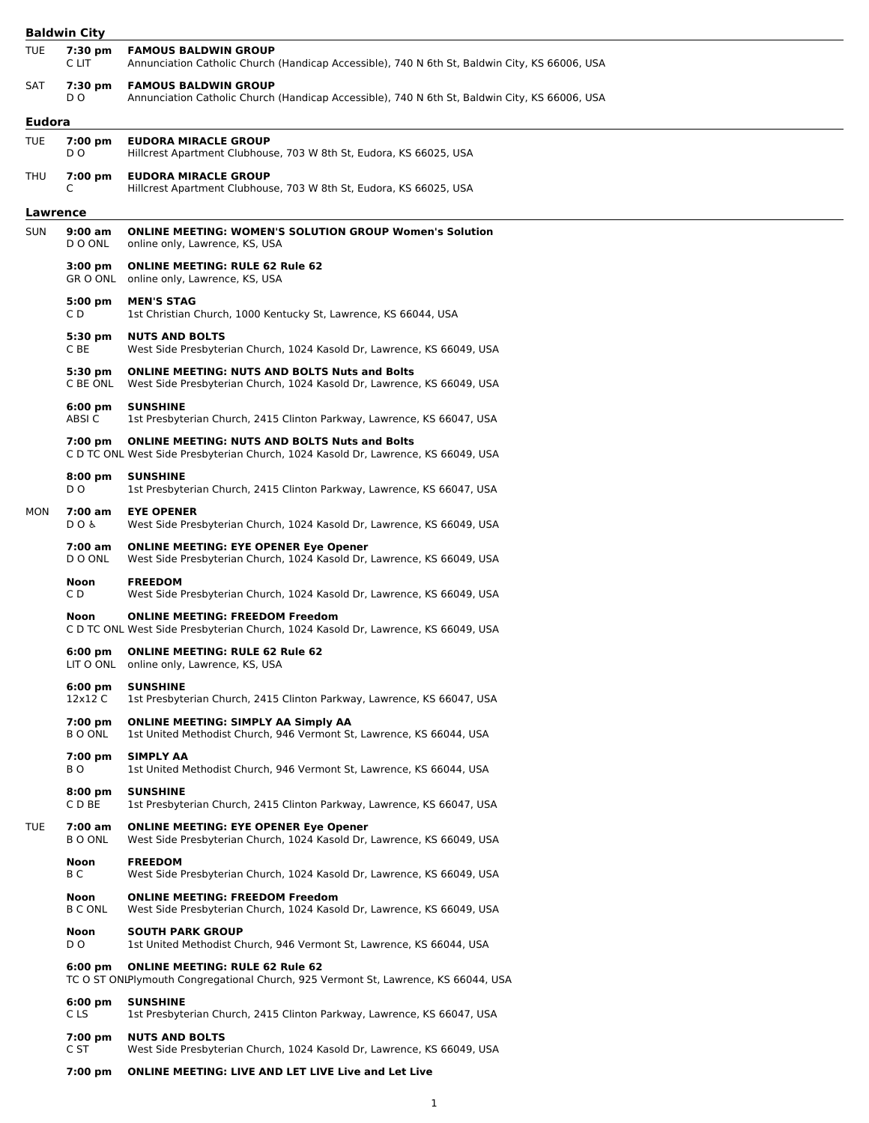| <b>Baldwin City</b> |                               |                                                                                                                                           |  |
|---------------------|-------------------------------|-------------------------------------------------------------------------------------------------------------------------------------------|--|
| TUE                 | 7:30 pm<br>C LIT              | <b>FAMOUS BALDWIN GROUP</b><br>Annunciation Catholic Church (Handicap Accessible), 740 N 6th St, Baldwin City, KS 66006, USA              |  |
| <b>SAT</b>          | 7:30 pm<br>D O                | <b>FAMOUS BALDWIN GROUP</b><br>Annunciation Catholic Church (Handicap Accessible), 740 N 6th St, Baldwin City, KS 66006, USA              |  |
| <b>Eudora</b>       |                               |                                                                                                                                           |  |
| <b>TUE</b>          | 7:00 pm<br>D O                | <b>EUDORA MIRACLE GROUP</b><br>Hillcrest Apartment Clubhouse, 703 W 8th St, Eudora, KS 66025, USA                                         |  |
| THU                 | $7:00 \text{ pm}$<br>C        | <b>EUDORA MIRACLE GROUP</b><br>Hillcrest Apartment Clubhouse, 703 W 8th St, Eudora, KS 66025, USA                                         |  |
| Lawrence            |                               |                                                                                                                                           |  |
| <b>SUN</b>          | 9:00 am<br>D O ONL            | <b>ONLINE MEETING: WOMEN'S SOLUTION GROUP Women's Solution</b><br>online only, Lawrence, KS, USA                                          |  |
|                     | $3:00 \text{ pm}$             | <b>ONLINE MEETING: RULE 62 Rule 62</b><br>GR O ONL online only, Lawrence, KS, USA                                                         |  |
|                     | $5:00 \text{ pm}$<br>C D      | <b>MEN'S STAG</b><br>1st Christian Church, 1000 Kentucky St, Lawrence, KS 66044, USA                                                      |  |
|                     | $5:30 \text{ pm}$<br>C BE     | <b>NUTS AND BOLTS</b><br>West Side Presbyterian Church, 1024 Kasold Dr, Lawrence, KS 66049, USA                                           |  |
|                     | $5:30 \text{ pm}$<br>C BE ONL | <b>ONLINE MEETING: NUTS AND BOLTS Nuts and Bolts</b><br>West Side Presbyterian Church, 1024 Kasold Dr, Lawrence, KS 66049, USA            |  |
|                     | $6:00 \text{ pm}$<br>ABSI C   | <b>SUNSHINE</b><br>1st Presbyterian Church, 2415 Clinton Parkway, Lawrence, KS 66047, USA                                                 |  |
|                     | $7:00 \text{ pm}$             | <b>ONLINE MEETING: NUTS AND BOLTS Nuts and Bolts</b><br>C D TC ONL West Side Presbyterian Church, 1024 Kasold Dr, Lawrence, KS 66049, USA |  |
|                     | $8:00 \text{ pm}$<br>DO.      | <b>SUNSHINE</b><br>1st Presbyterian Church, 2415 Clinton Parkway, Lawrence, KS 66047, USA                                                 |  |
| MON                 | 7:00 am<br>DO&                | <b>EYE OPENER</b><br>West Side Presbyterian Church, 1024 Kasold Dr, Lawrence, KS 66049, USA                                               |  |
|                     | 7:00 am<br>D O ONL            | <b>ONLINE MEETING: EYE OPENER Eye Opener</b><br>West Side Presbyterian Church, 1024 Kasold Dr, Lawrence, KS 66049, USA                    |  |
|                     | Noon<br>C D                   | <b>FREEDOM</b><br>West Side Presbyterian Church, 1024 Kasold Dr, Lawrence, KS 66049, USA                                                  |  |
|                     | Noon                          | <b>ONLINE MEETING: FREEDOM Freedom</b><br>C D TC ONL West Side Presbyterian Church, 1024 Kasold Dr, Lawrence, KS 66049, USA               |  |
|                     | 6:00 pm                       | <b>ONLINE MEETING: RULE 62 Rule 62</b><br>LIT O ONL online only, Lawrence, KS, USA                                                        |  |
|                     | $6:00$ pm<br>12x12 C          | <b>SUNSHINE</b><br>1st Presbyterian Church, 2415 Clinton Parkway, Lawrence, KS 66047, USA                                                 |  |
|                     | 7:00 pm<br><b>BOONL</b>       | <b>ONLINE MEETING: SIMPLY AA Simply AA</b><br>1st United Methodist Church, 946 Vermont St, Lawrence, KS 66044, USA                        |  |
|                     | 7:00 pm<br>BO.                | <b>SIMPLY AA</b><br>1st United Methodist Church, 946 Vermont St, Lawrence, KS 66044, USA                                                  |  |
|                     | $8:00 \text{ pm}$<br>C D BE   | <b>SUNSHINE</b><br>1st Presbyterian Church, 2415 Clinton Parkway, Lawrence, KS 66047, USA                                                 |  |
| <b>TUE</b>          | 7:00 am<br>B O ONL            | <b>ONLINE MEETING: EYE OPENER Eye Opener</b><br>West Side Presbyterian Church, 1024 Kasold Dr, Lawrence, KS 66049, USA                    |  |
|                     | Noon<br>ВC                    | <b>FREEDOM</b><br>West Side Presbyterian Church, 1024 Kasold Dr, Lawrence, KS 66049, USA                                                  |  |
|                     | Noon<br>B C ONL               | <b>ONLINE MEETING: FREEDOM Freedom</b><br>West Side Presbyterian Church, 1024 Kasold Dr, Lawrence, KS 66049, USA                          |  |
|                     | Noon<br>DO.                   | <b>SOUTH PARK GROUP</b><br>1st United Methodist Church, 946 Vermont St, Lawrence, KS 66044, USA                                           |  |
|                     | $6:00 \text{ pm}$             | <b>ONLINE MEETING: RULE 62 Rule 62</b><br>TC O ST ONLPlymouth Congregational Church, 925 Vermont St, Lawrence, KS 66044, USA              |  |
|                     | $6:00 \text{ pm}$<br>C LS     | <b>SUNSHINE</b><br>1st Presbyterian Church, 2415 Clinton Parkway, Lawrence, KS 66047, USA                                                 |  |
|                     | 7:00 pm<br>C ST               | <b>NUTS AND BOLTS</b><br>West Side Presbyterian Church, 1024 Kasold Dr, Lawrence, KS 66049, USA                                           |  |
|                     | 7:00 pm                       | <b>ONLINE MEETING: LIVE AND LET LIVE Live and Let Live</b>                                                                                |  |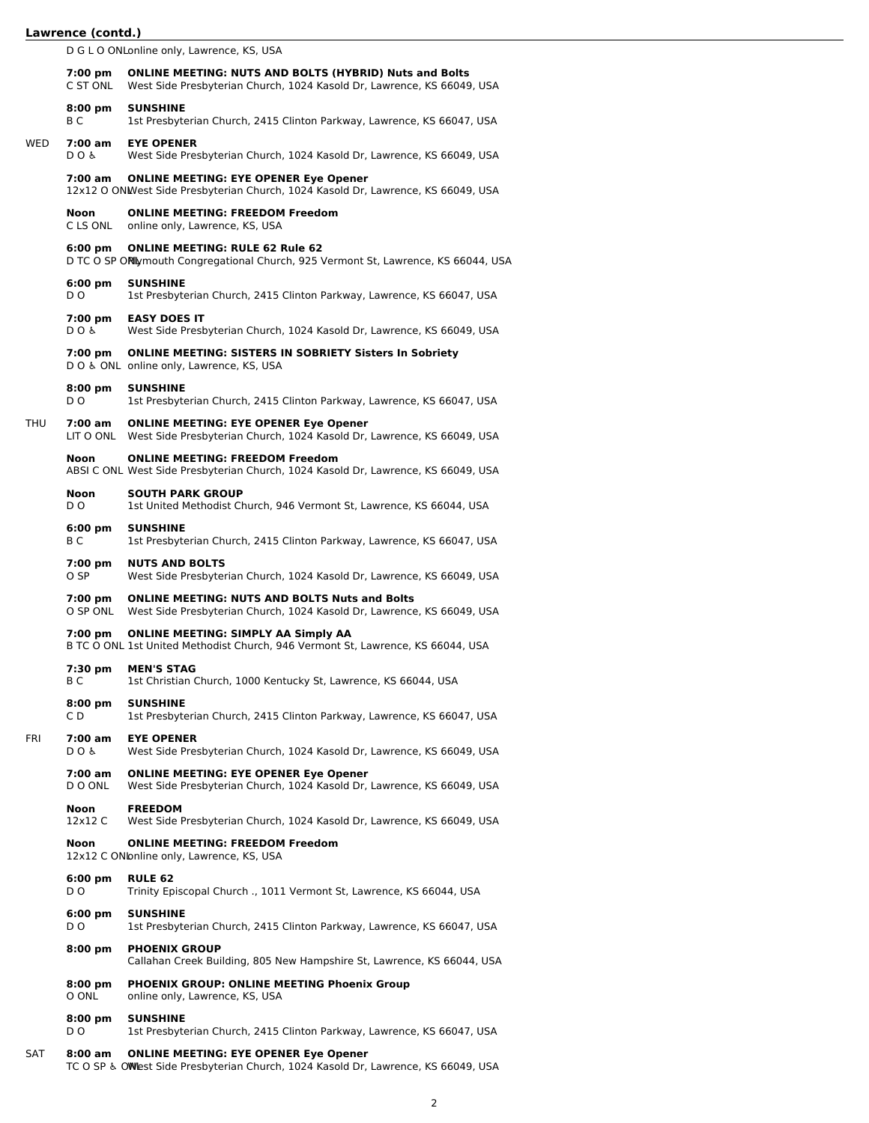## **Lawrence (contd.)**

D G L O ONLonline only, Lawrence, KS, USA **7:00 pm ONLINE MEETING: NUTS AND BOLTS (HYBRID) Nuts and Bolts** C ST ONL West Side Presbyterian Church, 1024 Kasold Dr, Lawrence, KS 66049, USA **8:00 pm SUNSHINE** B C 1st Presbyterian Church, 2415 Clinton Parkway, Lawrence, KS 66047, USA WED **7:00 am EYE OPENER** D O ♿︎ West Side Presbyterian Church, 1024 Kasold Dr, Lawrence, KS 66049, USA **7:00 am ONLINE MEETING: EYE OPENER Eye Opener** 12x12 O ONLWest Side Presbyterian Church, 1024 Kasold Dr, Lawrence, KS 66049, USA **Noon ONLINE MEETING: FREEDOM Freedom** online only, Lawrence, KS, USA **6:00 pm ONLINE MEETING: RULE 62 Rule 62** D TC O SP ONLymouth Congregational Church, 925 Vermont St, Lawrence, KS 66044, USA **6:00 pm SUNSHINE** D O 1st Presbyterian Church, 2415 Clinton Parkway, Lawrence, KS 66047, USA **7:00 pm EASY DOES IT** D O ♿︎ West Side Presbyterian Church, 1024 Kasold Dr, Lawrence, KS 66049, USA **7:00 pm ONLINE MEETING: SISTERS IN SOBRIETY Sisters In Sobriety** D O & ONL online only, Lawrence, KS, USA **8:00 pm SUNSHINE** D O 1st Presbyterian Church, 2415 Clinton Parkway, Lawrence, KS 66047, USA THU **7:00 am ONLINE MEETING: EYE OPENER Eye Opener** LIT O ONL West Side Presbyterian Church, 1024 Kasold Dr, Lawrence, KS 66049, USA **Noon ONLINE MEETING: FREEDOM Freedom** ABSI C ONL West Side Presbyterian Church, 1024 Kasold Dr, Lawrence, KS 66049, USA **Noon SOUTH PARK GROUP** D O 1st United Methodist Church, 946 Vermont St, Lawrence, KS 66044, USA **6:00 pm SUNSHINE** B C 1st Presbyterian Church, 2415 Clinton Parkway, Lawrence, KS 66047, USA **7:00 pm NUTS AND BOLTS** O SP West Side Presbyterian Church, 1024 Kasold Dr, Lawrence, KS 66049, USA **7:00 pm ONLINE MEETING: NUTS AND BOLTS Nuts and Bolts** O SP ONL West Side Presbyterian Church, 1024 Kasold Dr, Lawrence, KS 66049, USA **7:00 pm ONLINE MEETING: SIMPLY AA Simply AA** B TC O ONL 1st United Methodist Church, 946 Vermont St, Lawrence, KS 66044, USA **7:30 pm MEN'S STAG** B C 1st Christian Church, 1000 Kentucky St, Lawrence, KS 66044, USA **8:00 pm SUNSHINE** C D 1st Presbyterian Church, 2415 Clinton Parkway, Lawrence, KS 66047, USA FRI **7:00 am EYE OPENER** D O ♿︎ West Side Presbyterian Church, 1024 Kasold Dr, Lawrence, KS 66049, USA **7:00 am ONLINE MEETING: EYE OPENER Eye Opener** D O ONL West Side Presbyterian Church, 1024 Kasold Dr, Lawrence, KS 66049, USA **Noon FREEDOM** 12x12 C West Side Presbyterian Church, 1024 Kasold Dr, Lawrence, KS 66049, USA **Noon ONLINE MEETING: FREEDOM Freedom** 12x12 C ONlonline only, Lawrence, KS, USA **6:00 pm RULE 62** D O Trinity Episcopal Church ., 1011 Vermont St, Lawrence, KS 66044, USA **6:00 pm SUNSHINE** D O 1st Presbyterian Church, 2415 Clinton Parkway, Lawrence, KS 66047, USA **8:00 pm PHOENIX GROUP** Callahan Creek Building, 805 New Hampshire St, Lawrence, KS 66044, USA **8:00 pm PHOENIX GROUP: ONLINE MEETING Phoenix Group** online only, Lawrence, KS, USA **8:00 pm SUNSHINE** D O 1st Presbyterian Church, 2415 Clinton Parkway, Lawrence, KS 66047, USA

## SAT **8:00 am ONLINE MEETING: EYE OPENER Eye Opener**

TC O SP & OWEst Side Presbyterian Church, 1024 Kasold Dr, Lawrence, KS 66049, USA